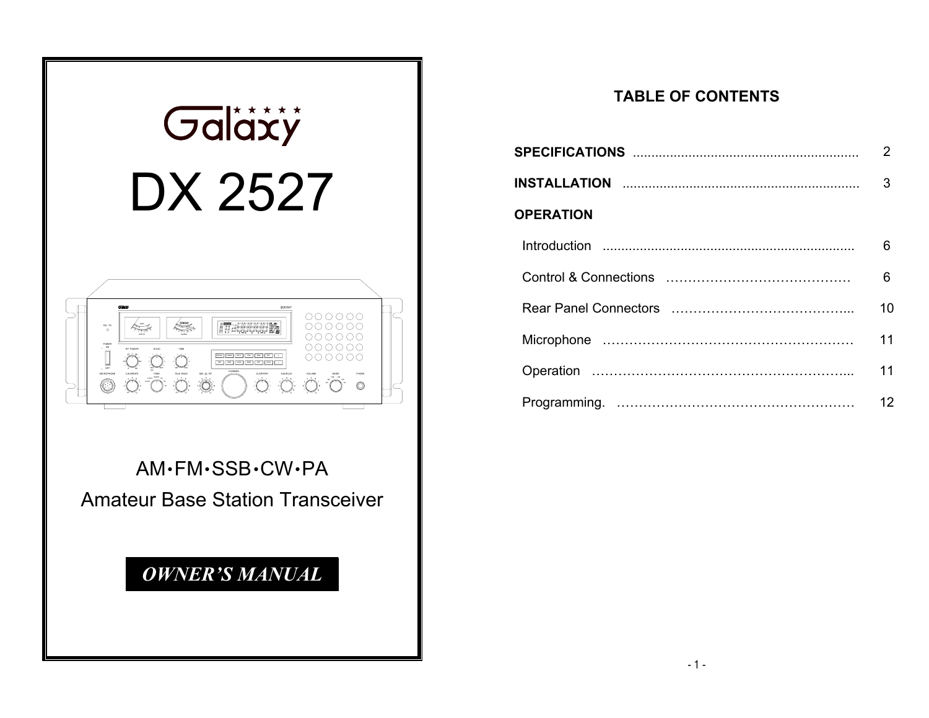

AM·FM·SSB·CW·PAAmateur Base Station Transceiver

# *OWNER'S MANUAL*

### **TABLE OF CONTENTS**

|                  | 2  |
|------------------|----|
|                  | 3  |
| <b>OPERATION</b> |    |
|                  | 6  |
|                  | 6  |
|                  | 10 |
|                  | 11 |
|                  | 11 |
|                  | 12 |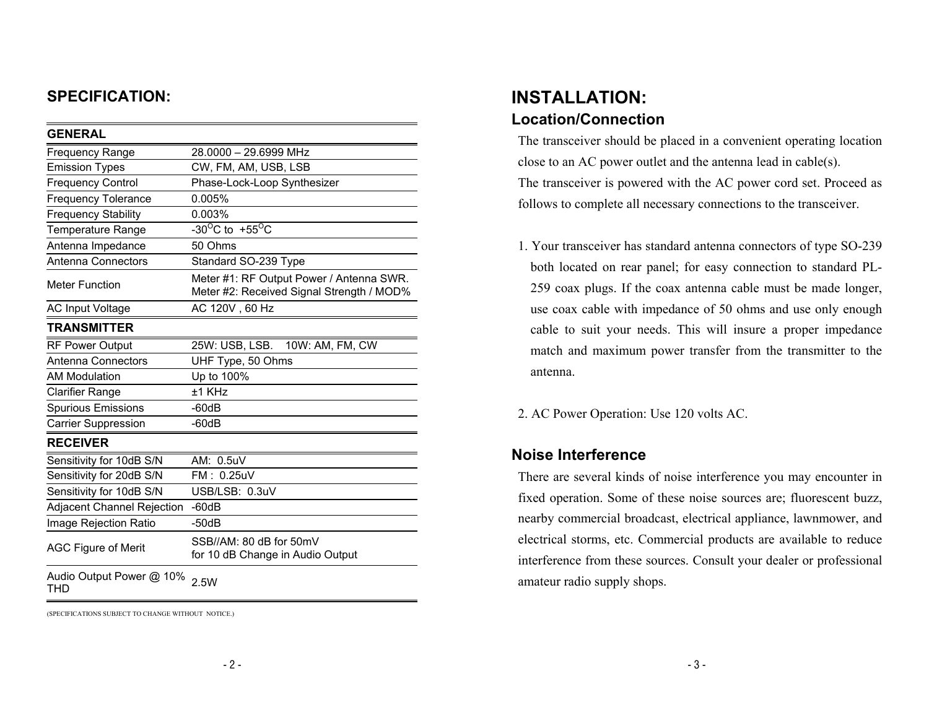### **SPECIFICATION:**

| <b>GENERAL</b>                    |                                                                                       |
|-----------------------------------|---------------------------------------------------------------------------------------|
| <b>Frequency Range</b>            | 28.0000 - 29.6999 MHz                                                                 |
| <b>Emission Types</b>             | CW, FM, AM, USB, LSB                                                                  |
| <b>Frequency Control</b>          | Phase-Lock-Loop Synthesizer                                                           |
| <b>Frequency Tolerance</b>        | 0.005%                                                                                |
| <b>Frequency Stability</b>        | 0.003%                                                                                |
| <b>Temperature Range</b>          | -30 <sup>o</sup> C to +55 <sup>o</sup> C                                              |
| Antenna Impedance                 | 50 Ohms                                                                               |
| <b>Antenna Connectors</b>         | Standard SO-239 Type                                                                  |
| <b>Meter Function</b>             | Meter #1: RF Output Power / Antenna SWR.<br>Meter #2: Received Signal Strength / MOD% |
| AC Input Voltage                  | AC 120V, 60 Hz                                                                        |
| <b>TRANSMITTER</b>                |                                                                                       |
| <b>RF Power Output</b>            | 25W: USB, LSB.<br>10W: AM, FM, CW                                                     |
| <b>Antenna Connectors</b>         | UHF Type, 50 Ohms                                                                     |
| <b>AM Modulation</b>              | Up to 100%                                                                            |
| <b>Clarifier Range</b>            | ±1 KHz                                                                                |
| <b>Spurious Emissions</b>         | $-60dB$                                                                               |
| <b>Carrier Suppression</b>        | $-60dB$                                                                               |
| <b>RECEIVER</b>                   |                                                                                       |
| Sensitivity for 10dB S/N          | AM: 0.5uV                                                                             |
| Sensitivity for 20dB S/N          | FM: 0.25uV                                                                            |
| Sensitivity for 10dB S/N          | USB/LSB: 0.3uV                                                                        |
| <b>Adjacent Channel Rejection</b> | $-60dB$                                                                               |
| Image Rejection Ratio             | -50dB                                                                                 |
| <b>AGC Figure of Merit</b>        | SSB//AM: 80 dB for 50mV<br>for 10 dB Change in Audio Output                           |
| Audio Output Power @ 10%<br>THD   | 2.5W                                                                                  |

(SPECIFICATIONS SUBJECT TO CHANGE WITHOUT NOTICE.)

## **INSTALLATION: Location/Connection**

The transceiver should be placed in a convenient operating location close to an AC power outlet and the antenna lead in cable(s). The transceiver is powered with the AC power cord set. Proceed as follows to complete all necessary connections to the transceiver.

- 1. Your transceiver has standard antenna connectors of type SO-239 both located on rear panel; for easy connection to standard PL-259 coax plugs. If the coax antenna cable must be made longer, use coax cable with impedance of 50 ohms and use only enough cable to suit your needs. This will insure a proper impedance match and maximum power transfer from the transmitter to the antenna.
- 2. AC Power Operation: Use 120 volts AC.

#### **Noise Interference**

There are several kinds of noise interference you may encounter in fixed operation. Some of these noise sources are; fluorescent buzz, nearby commercial broadcast, electrical appliance, lawnmower, and electrical storms, etc. Commercial products are available to reduce interference from these sources. Consult your dealer or professional amateur radio supply shops.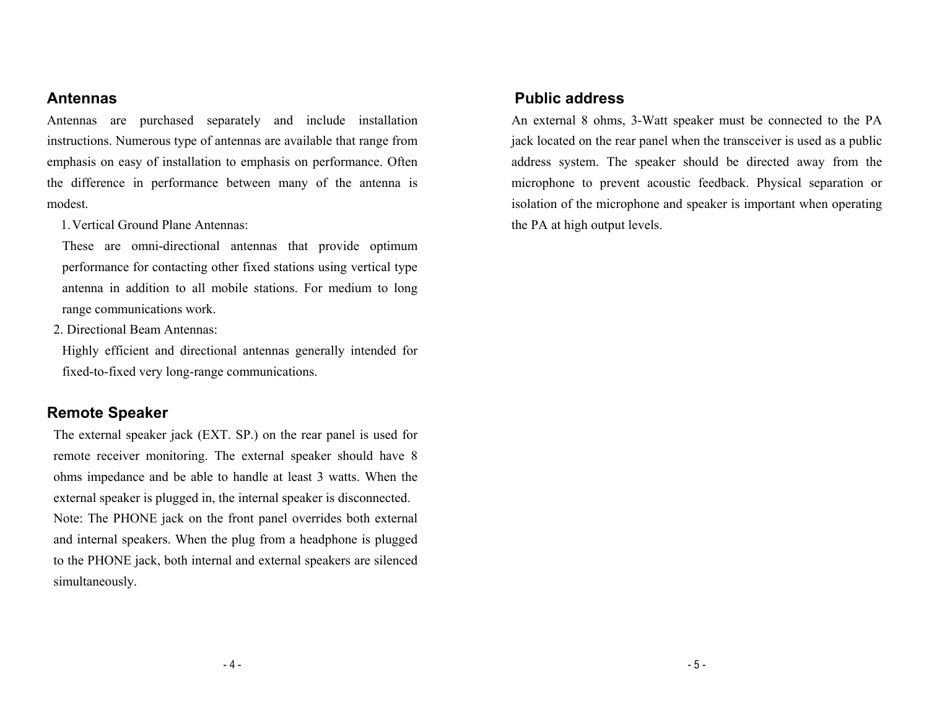#### **Antennas**

Antennas are purchased separately and include installation instructions. Numerous type of antennas are available that range from emphasis on easy of installation to emphasis on performance. Often the difference in performance between many of the antenna is modest.

1. Vertical Ground Plane Antennas:

These are omni-directional antennas that provide optimum performance for contacting other fixed stations using vertical type antenna in addition to all mobile stations. For medium to long range communications work.

2. Directional Beam Antennas:

Highly efficient and directional antennas generally intended for fixed-to-fixed very long-range communications.

#### **Remote Speaker**

The external speaker jack (EXT. SP.) on the rear panel is used for remote receiver monitoring. The external speaker should have 8 ohms impedance and be able to handle at least 3 watts. When the external speaker is plugged in, the internal speaker is disconnected. Note: The PHONE jack on the front panel overrides both external and internal speakers. When the plug from a headphone is plugged to the PHONE jack, both internal and external speakers are silenced simultaneously.

### **Public address**

An external 8 ohms, 3-Watt speaker must be connected to the PA jack located on the rear panel when the transceiver is used as a public address system. The speaker should be directed away from the microphone to prevent acoustic feedback. Physical separation or isolation of the microphone and speaker is important when operating the PA at high output levels.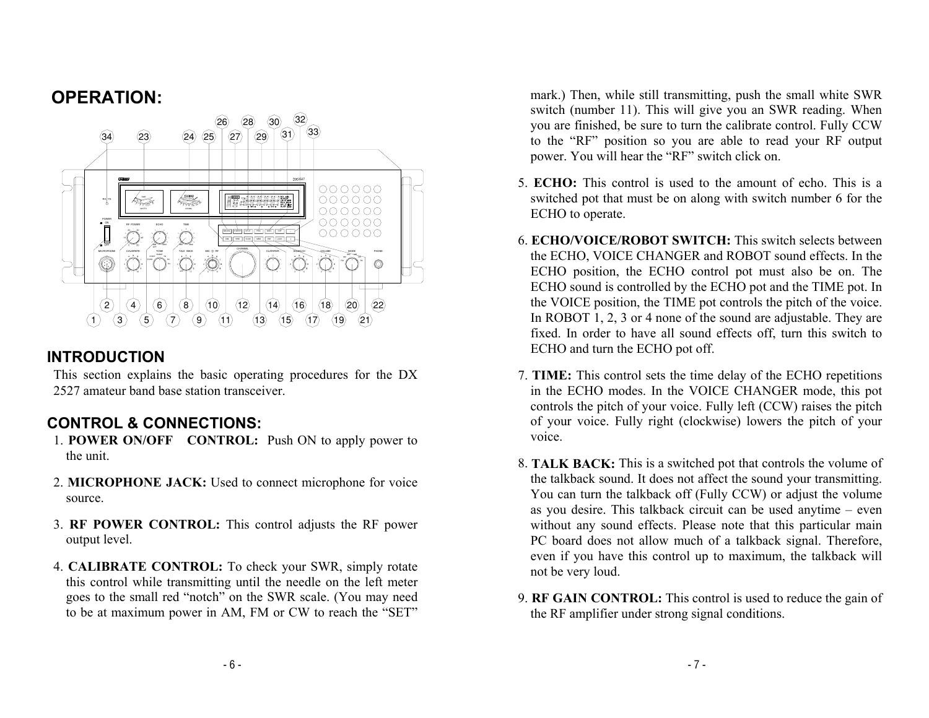## **OPERATION:**



### **INTRODUCTION**

This section explains the basic operating procedures for the DX 2527 amateur band base station transceiver.

### **CONTROL & CONNECTIONS:**

- 1. **POWER ON/OFF CONTROL:** Push ON to apply power to the unit.
- 2. **MICROPHONE JACK:** Used to connect microphone for voice source.
- 3. **RF POWER CONTROL:** This control adjusts the RF power output level.
- 4. **CALIBRATE CONTROL:** To check your SWR, simply rotate this control while transmitting until the needle on the left meter goes to the small red "notch" on the SWR scale. (You may need to be at maximum power in AM, FM or CW to reach the "SET"

mark.) Then, while still transmitting, push the small white SWR switch (number 11). This will give you an SWR reading. When you are finished, be sure to turn the calibrate control. Fully CCW to the "RF" position so you are able to read your RF output power. You will hear the "RF" switch click on.

- 5. **ECHO:** This control is used to the amount of echo. This is a switched pot that must be on along with switch number 6 for the ECHO to operate.
- 6. **ECHO/VOICE/ROBOT SWITCH:** This switch selects between the ECHO, VOICE CHANGER and ROBOT sound effects. In the ECHO position, the ECHO control pot must also be on. The ECHO sound is controlled by the ECHO pot and the TIME pot. In the VOICE position, the TIME pot controls the pitch of the voice. In ROBOT 1, 2, 3 or 4 none of the sound are adjustable. They are fixed. In order to have all sound effects off, turn this switch to ECHO and turn the ECHO pot off.
- 7. **TIME:** This control sets the time delay of the ECHO repetitions in the ECHO modes. In the VOICE CHANGER mode, this pot controls the pitch of your voice. Fully left (CCW) raises the pitch of your voice. Fully right (clockwise) lowers the pitch of your voice.
- 8. **TALK BACK:** This is a switched pot that controls the volume of the talkback sound. It does not affect the sound your transmitting. You can turn the talkback off (Fully CCW) or adjust the volume as you desire. This talkback circuit can be used anytime – even without any sound effects. Please note that this particular main PC board does not allow much of a talkback signal. Therefore, even if you have this control up to maximum, the talkback will not be very loud.
- 9. **RF GAIN CONTROL:** This control is used to reduce the gain of the RF amplifier under strong signal conditions.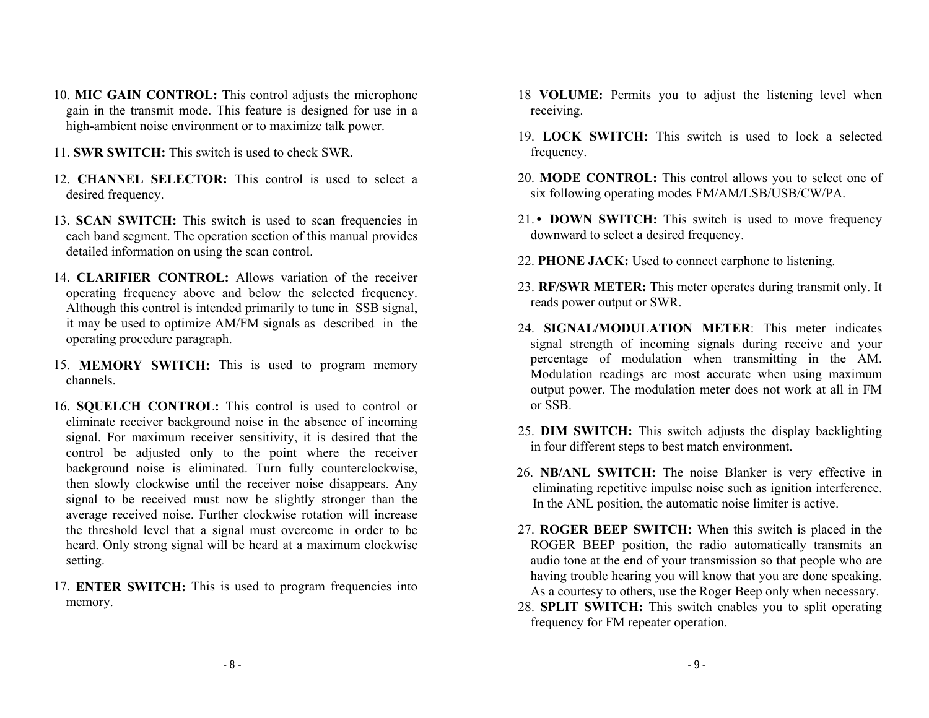- 10. **MIC GAIN CONTROL:** This control adjusts the microphone gain in the transmit mode. This feature is designed for use in a high-ambient noise environment or to maximize talk power.
- 11. **SWR SWITCH:** This switch is used to check SWR.
- 12. **CHANNEL SELECTOR:** This control is used to select a desired frequency.
- 13. **SCAN SWITCH:** This switch is used to scan frequencies in each band segment. The operation section of this manual provides detailed information on using the scan control.
- 14. **CLARIFIER CONTROL:** Allows variation of the receiver operating frequency above and below the selected frequency. Although this control is intended primarily to tune in SSB signal, it may be used to optimize AM/FM signals as described in the operating procedure paragraph.
- 15. **MEMORY SWITCH:** This is used to program memory channels.
- 16. **SQUELCH CONTROL:** This control is used to control or eliminate receiver background noise in the absence of incoming signal. For maximum receiver sensitivity, it is desired that the control be adjusted only to the point where the receiver background noise is eliminated. Turn fully counterclockwise, then slowly clockwise until the receiver noise disappears. Any signal to be received must now be slightly stronger than the average received noise. Further clockwise rotation will increase the threshold level that a signal must overcome in order to be heard. Only strong signal will be heard at a maximum clockwise setting.
- 17. **ENTER SWITCH:** This is used to program frequencies into memory.
- 18 **VOLUME:** Permits you to adjust the listening level when receiving.
- 19. **LOCK SWITCH:** This switch is used to lock a selected frequency.
- 20. **MODE CONTROL:** This control allows you to select one of six following operating modes FM/AM/LSB/USB/CW/PA.
- 21.**• DOWN SWITCH:** This switch is used to move frequency downward to select a desired frequency.
- 22. **PHONE JACK:** Used to connect earphone to listening.
- 23. **RF/SWR METER:** This meter operates during transmit only. It reads power output or SWR.
- 24. **SIGNAL/MODULATION METER**: This meter indicates signal strength of incoming signals during receive and your percentage of modulation when transmitting in the AM. Modulation readings are most accurate when using maximum output power. The modulation meter does not work at all in FM or SSB.
- 25. **DIM SWITCH:** This switch adjusts the display backlighting in four different steps to best match environment.
- 26. **NB/ANL SWITCH:** The noise Blanker is very effective in eliminating repetitive impulse noise such as ignition interference. In the ANL position, the automatic noise limiter is active.
- 27. **ROGER BEEP SWITCH:** When this switch is placed in the ROGER BEEP position, the radio automatically transmits an audio tone at the end of your transmission so that people who are having trouble hearing you will know that you are done speaking. As a courtesy to others, use the Roger Beep only when necessary.
- 28. **SPLIT SWITCH:** This switch enables you to split operating frequency for FM repeater operation.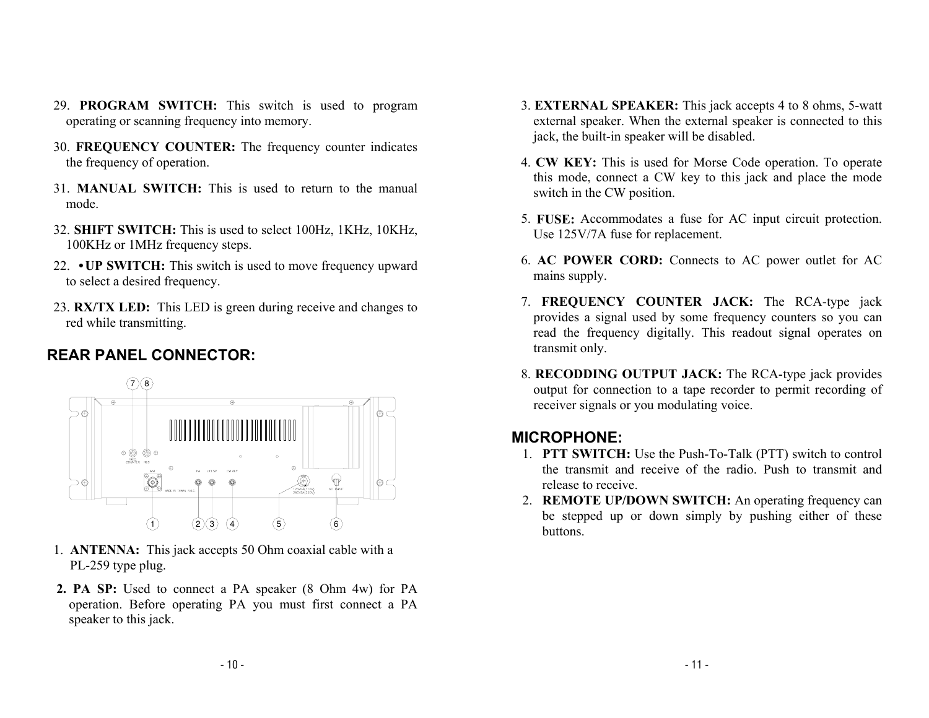- 29. **PROGRAM SWITCH:** This switch is used to program operating or scanning frequency into memory.
- 30. **FREQUENCY COUNTER:** The frequency counter indicates the frequency of operation.
- 31. **MANUAL SWITCH:** This is used to return to the manual mode.
- 32. **SHIFT SWITCH:** This is used to select 100Hz, 1KHz, 10KHz, 100KHz or 1MHz frequency steps.
- 22. **•UP SWITCH:** This switch is used to move frequency upward to select a desired frequency.
- 23. **RX/TX LED:** This LED is green during receive and changes to red while transmitting.

### **REAR PANEL CONNECTOR:**



- 1. **ANTENNA:** This jack accepts 50 Ohm coaxial cable with a PL-259 type plug.
- **2. PA SP:** Used to connect a PA speaker (8 Ohm 4w) for PA operation. Before operating PA you must first connect a PA speaker to this jack.
- 3. **EXTERNAL SPEAKER:** This jack accepts 4 to 8 ohms, 5-watt external speaker. When the external speaker is connected to this jack, the built-in speaker will be disabled.
- 4. **CW KEY:** This is used for Morse Code operation. To operate this mode, connect a CW key to this jack and place the mode switch in the CW position.
- 5. **FUSE:** Accommodates a fuse for AC input circuit protection. Use 125V/7A fuse for replacement.
- 6. **AC POWER CORD:** Connects to AC power outlet for AC mains supply.
- 7. **FREQUENCY COUNTER JACK:** The RCA-type jack provides a signal used by some frequency counters so you can read the frequency digitally. This readout signal operates on transmit only.
- 8. **RECODDING OUTPUT JACK:** The RCA-type jack provides output for connection to a tape recorder to permit recording of receiver signals or you modulating voice.

#### **MICROPHONE:**

- 1. **PTT SWITCH:** Use the Push-To-Talk (PTT) switch to control the transmit and receive of the radio. Push to transmit and release to receive.
- 2. **REMOTE UP/DOWN SWITCH:** An operating frequency can be stepped up or down simply by pushing either of these buttons.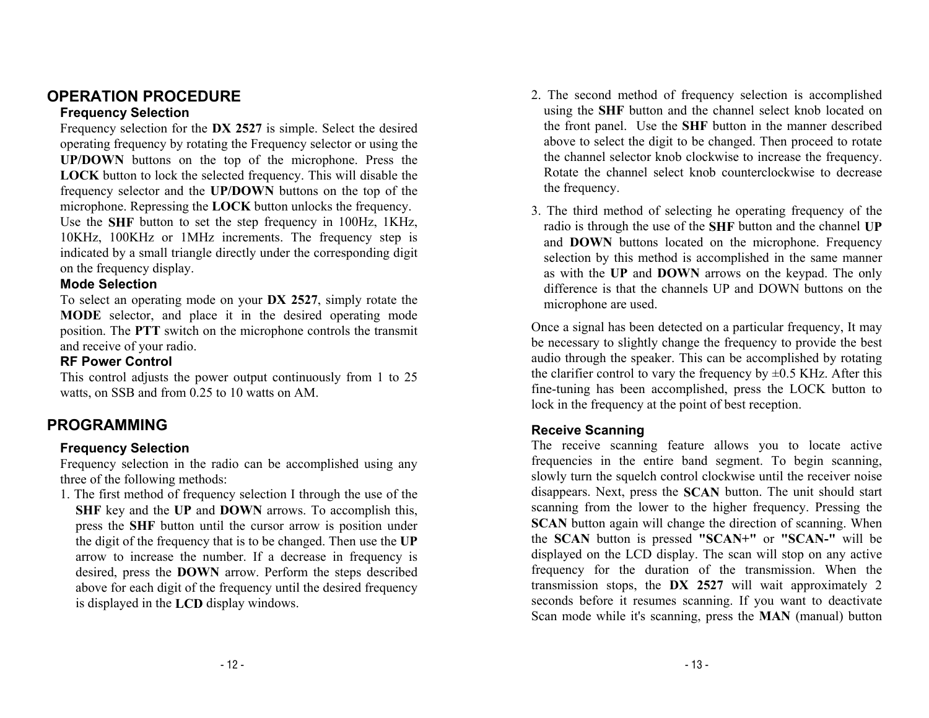### **OPERATION PROCEDURE**

#### **Frequency Selection**

Frequency selection for the **DX 2527** is simple. Select the desired operating frequency by rotating the Frequency selector or using the **UP/DOWN** buttons on the top of the microphone. Press the **LOCK** button to lock the selected frequency. This will disable the frequency selector and the **UP/DOWN** buttons on the top of the microphone. Repressing the **LOCK** button unlocks the frequency. Use the **SHF** button to set the step frequency in 100Hz, 1KHz, 10KHz, 100KHz or 1MHz increments. The frequency step is indicated by a small triangle directly under the corresponding digit on the frequency display.

#### **Mode Selection**

To select an operating mode on your **DX 2527**, simply rotate the **MODE** selector, and place it in the desired operating mode position. The **PTT** switch on the microphone controls the transmit and receive of your radio.

#### **RF Power Control**

This control adjusts the power output continuously from 1 to 25 watts, on SSB and from 0.25 to 10 watts on AM.

### **PROGRAMMING**

#### **Frequency Selection**

Frequency selection in the radio can be accomplished using any three of the following methods:

1. The first method of frequency selection I through the use of the **SHF** key and the **UP** and **DOWN** arrows. To accomplish this, press the **SHF** button until the cursor arrow is position under the digit of the frequency that is to be changed. Then use the **UP** arrow to increase the number. If a decrease in frequency is desired, press the **DOWN** arrow. Perform the steps described above for each digit of the frequency until the desired frequency is displayed in the **LCD** display windows.

- 2. The second method of frequency selection is accomplished using the **SHF** button and the channel select knob located on the front panel. Use the **SHF** button in the manner described above to select the digit to be changed. Then proceed to rotate the channel selector knob clockwise to increase the frequency. Rotate the channel select knob counterclockwise to decrease the frequency.
- 3. The third method of selecting he operating frequency of the radio is through the use of the **SHF** button and the channel **UP** and **DOWN** buttons located on the microphone. Frequency selection by this method is accomplished in the same manner as with the **UP** and **DOWN** arrows on the keypad. The only difference is that the channels UP and DOWN buttons on the microphone are used.

Once a signal has been detected on a particular frequency, It may be necessary to slightly change the frequency to provide the best audio through the speaker. This can be accomplished by rotating the clarifier control to vary the frequency by  $\pm 0.5$  KHz. After this fine-tuning has been accomplished, press the LOCK button to lock in the frequency at the point of best reception.

#### **Receive Scanning**

The receive scanning feature allows you to locate active frequencies in the entire band segment. To begin scanning, slowly turn the squelch control clockwise until the receiver noise disappears. Next, press the **SCAN** button. The unit should start scanning from the lower to the higher frequency. Pressing the **SCAN** button again will change the direction of scanning. When the **SCAN** button is pressed **"SCAN+"** or **"SCAN-"** will be displayed on the LCD display. The scan will stop on any active frequency for the duration of the transmission. When the transmission stops, the **DX 2527** will wait approximately 2 seconds before it resumes scanning. If you want to deactivate Scan mode while it's scanning, press the **MAN** (manual) button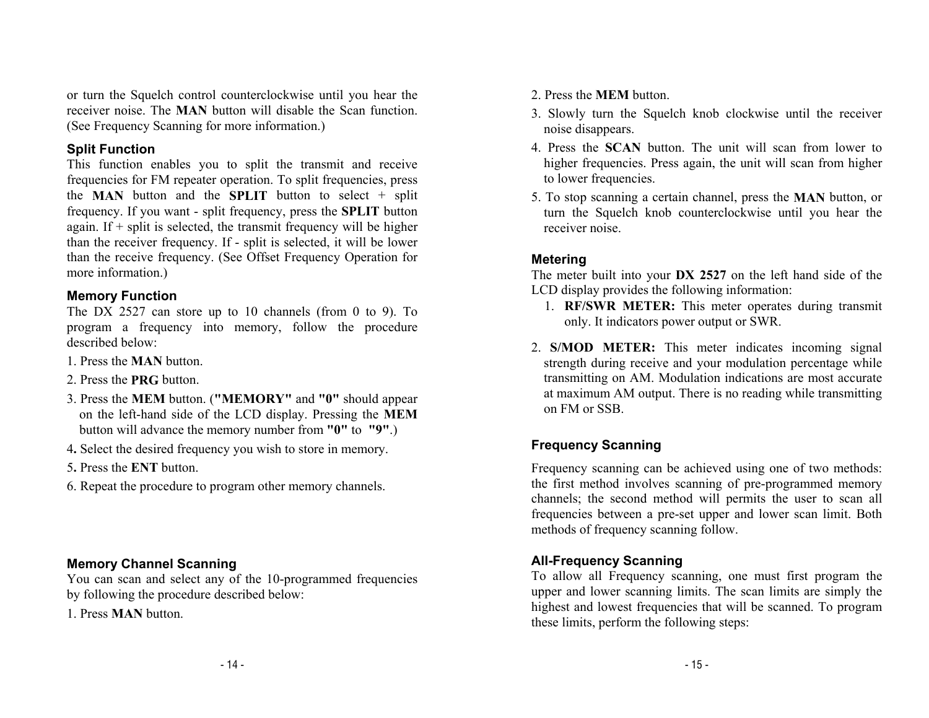or turn the Squelch control counterclockwise until you hear the receiver noise. The **MAN** button will disable the Scan function. (See Frequency Scanning for more information.)

#### **Split Function**

This function enables you to split the transmit and receive frequencies for FM repeater operation. To split frequencies, press the **MAN** button and the **SPLIT** button to select + split frequency. If you want - split frequency, press the **SPLIT** button again. If  $+$  split is selected, the transmit frequency will be higher than the receiver frequency. If - split is selected, it will be lower than the receive frequency. (See Offset Frequency Operation for more information.)

#### **Memory Function**

The DX 2527 can store up to 10 channels (from 0 to 9). To program a frequency into memory, follow the procedure described below:

- 1. Press the **MAN** button.
- 2. Press the **PRG** button.
- 3. Press the **MEM** button. (**"MEMORY"** and **"0"** should appear on the left-hand side of the LCD display. Pressing the **MEM** button will advance the memory number from **"0"** to **"9"**.)
- 4**.** Select the desired frequency you wish to store in memory.
- 5**.** Press the **ENT** button.
- 6. Repeat the procedure to program other memory channels.

### **Memory Channel Scanning**

You can scan and select any of the 10-programmed frequencies by following the procedure described below:

1. Press **MAN** button.

- 2. Press the **MEM** button.
- 3. Slowly turn the Squelch knob clockwise until the receiver noise disappears.
- 4. Press the **SCAN** button. The unit will scan from lower to higher frequencies. Press again, the unit will scan from higher to lower frequencies.
- 5. To stop scanning a certain channel, press the **MAN** button, or turn the Squelch knob counterclockwise until you hear the receiver noise.

#### **Metering**

The meter built into your **DX 2527** on the left hand side of the LCD display provides the following information:

- 1. **RF/SWR METER:** This meter operates during transmit only. It indicators power output or SWR.
- 2. **S/MOD METER:** This meter indicates incoming signal strength during receive and your modulation percentage while transmitting on AM. Modulation indications are most accurate at maximum AM output. There is no reading while transmitting on FM or SSB.

### **Frequency Scanning**

Frequency scanning can be achieved using one of two methods: the first method involves scanning of pre-programmed memory channels; the second method will permits the user to scan all frequencies between a pre-set upper and lower scan limit. Both methods of frequency scanning follow.

#### **All-Frequency Scanning**

To allow all Frequency scanning, one must first program the upper and lower scanning limits. The scan limits are simply the highest and lowest frequencies that will be scanned. To program these limits, perform the following steps: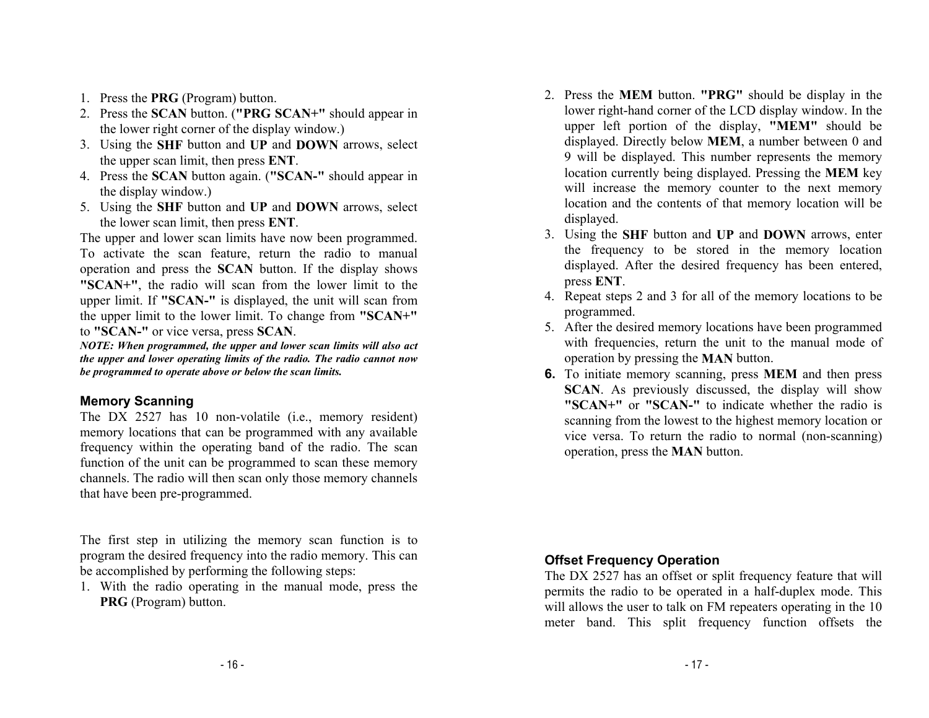- 1. Press the **PRG** (Program) button.
- 2. Press the **SCAN** button. (**"PRG SCAN+"** should appear in the lower right corner of the display window.)
- 3. Using the **SHF** button and **UP** and **DOWN** arrows, select the upper scan limit, then press **ENT**.
- 4. Press the **SCAN** button again. (**"SCAN-"** should appear in the display window.)
- 5. Using the **SHF** button and **UP** and **DOWN** arrows, select the lower scan limit, then press **ENT**.

The upper and lower scan limits have now been programmed. To activate the scan feature, return the radio to manual operation and press the **SCAN** button. If the display shows **"SCAN+"**, the radio will scan from the lower limit to the upper limit. If **"SCAN-"** is displayed, the unit will scan from the upper limit to the lower limit. To change from **"SCAN+"** to **"SCAN-"** or vice versa, press **SCAN**.

*NOTE: When programmed, the upper and lower scan limits will also act the upper and lower operating limits of the radio. The radio cannot now be programmed to operate above or below the scan limits.* 

#### **Memory Scanning**

The DX 2527 has 10 non-volatile (i.e., memory resident) memory locations that can be programmed with any available frequency within the operating band of the radio. The scan function of the unit can be programmed to scan these memory channels. The radio will then scan only those memory channels that have been pre-programmed.

The first step in utilizing the memory scan function is to program the desired frequency into the radio memory. This can be accomplished by performing the following steps:

1. With the radio operating in the manual mode, press the **PRG** (Program) button.

- 2. Press the **MEM** button. **"PRG"** should be display in the lower right-hand corner of the LCD display window. In the upper left portion of the display, **"MEM"** should be displayed. Directly below **MEM**, a number between 0 and 9 will be displayed. This number represents the memory location currently being displayed. Pressing the **MEM** key will increase the memory counter to the next memory location and the contents of that memory location will be displayed.
- 3. Using the **SHF** button and **UP** and **DOWN** arrows, enter the frequency to be stored in the memory location displayed. After the desired frequency has been entered, press **ENT**.
- 4. Repeat steps 2 and 3 for all of the memory locations to be programmed.
- 5. After the desired memory locations have been programmed with frequencies, return the unit to the manual mode of operation by pressing the **MAN** button.
- **6.** To initiate memory scanning, press **MEM** and then press **SCAN**. As previously discussed, the display will show **"SCAN+"** or **"SCAN-"** to indicate whether the radio is scanning from the lowest to the highest memory location or vice versa. To return the radio to normal (non-scanning) operation, press the **MAN** button.

#### **Offset Frequency Operation**

The DX 2527 has an offset or split frequency feature that will permits the radio to be operated in a half-duplex mode. This will allows the user to talk on FM repeaters operating in the 10 meter band. This split frequency function offsets the